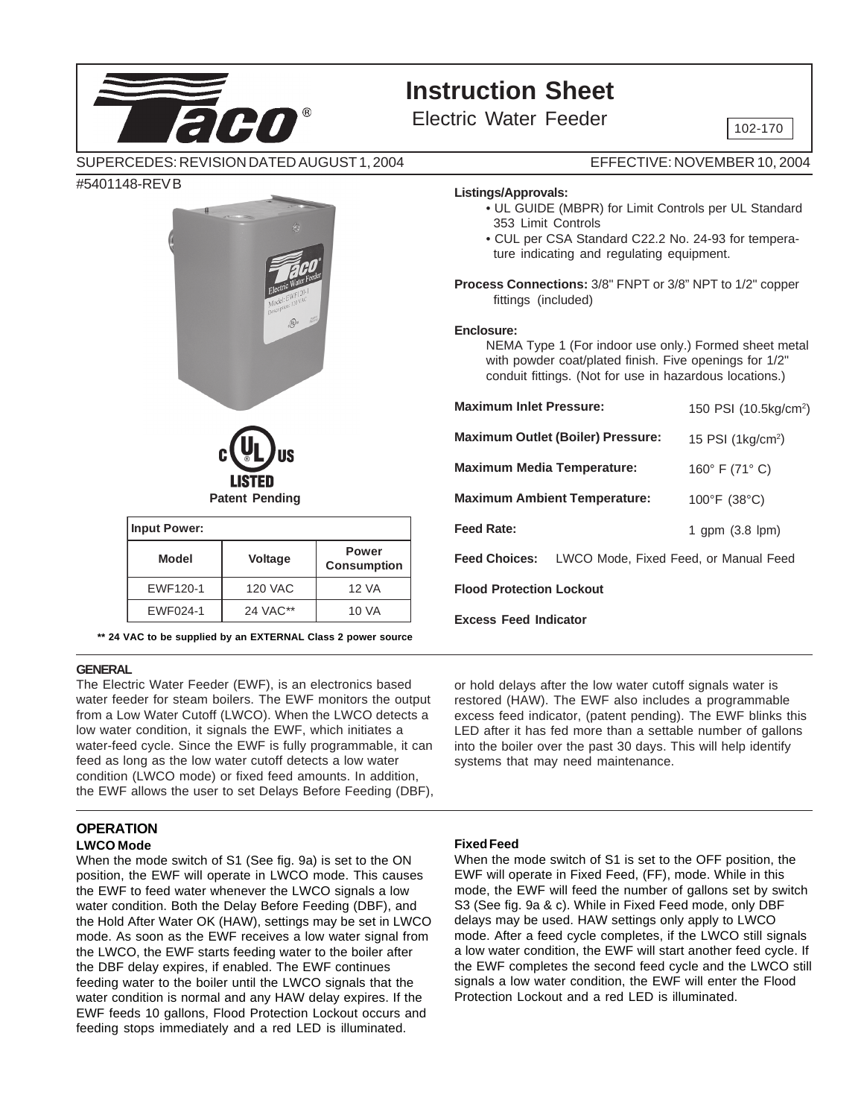# **Instruction Sheet**

Electric Water Feeder  $\sqrt{\frac{102-170}{102-170}}$ 

SUPERCEDES: REVISION DATED AUGUST 1, 2004

#5401148-REV B



| <b>Input Power:</b> |          |                             |  |  |
|---------------------|----------|-----------------------------|--|--|
| <b>Model</b>        | Voltage  | Power<br><b>Consumption</b> |  |  |
| EWF120-1            | 120 VAC  | 12 VA                       |  |  |
| EWF024-1            | 24 VAC** | 10 VA                       |  |  |

**\*\* 24 VAC to be supplied by an EXTERNAL Class 2 power source**

#### **GENERAL**

The Electric Water Feeder (EWF), is an electronics based water feeder for steam boilers. The EWF monitors the output from a Low Water Cutoff (LWCO). When the LWCO detects a low water condition, it signals the EWF, which initiates a water-feed cycle. Since the EWF is fully programmable, it can feed as long as the low water cutoff detects a low water condition (LWCO mode) or fixed feed amounts. In addition, the EWF allows the user to set Delays Before Feeding (DBF),

#### **OPERATION LWCO Mode**

When the mode switch of S1 (See fig. 9a) is set to the ON position, the EWF will operate in LWCO mode. This causes the EWF to feed water whenever the LWCO signals a low water condition. Both the Delay Before Feeding (DBF), and the Hold After Water OK (HAW), settings may be set in LWCO mode. As soon as the EWF receives a low water signal from the LWCO, the EWF starts feeding water to the boiler after the DBF delay expires, if enabled. The EWF continues feeding water to the boiler until the LWCO signals that the water condition is normal and any HAW delay expires. If the EWF feeds 10 gallons, Flood Protection Lockout occurs and feeding stops immediately and a red LED is illuminated.

EFFECTIVE: NOVEMBER 10, 2004

#### **Listings/Approvals:**

- UL GUIDE (MBPR) for Limit Controls per UL Standard 353 Limit Controls
- CUL per CSA Standard C22.2 No. 24-93 for temperature indicating and regulating equipment.

**Process Connections:** 3/8" FNPT or 3/8" NPT to 1/2" copper fittings (included)

#### **Enclosure:**

NEMA Type 1 (For indoor use only.) Formed sheet metal with powder coat/plated finish. Five openings for 1/2" conduit fittings. (Not for use in hazardous locations.)

| <b>Maximum Inlet Pressure:</b>           | 150 PSI (10.5kg/cm <sup>2</sup> )                          |  |  |
|------------------------------------------|------------------------------------------------------------|--|--|
| <b>Maximum Outlet (Boiler) Pressure:</b> | 15 PSI $(1 \text{kg/cm}^2)$                                |  |  |
| <b>Maximum Media Temperature:</b>        | 160 $\degree$ F (71 $\degree$ C)                           |  |  |
| <b>Maximum Ambient Temperature:</b>      | 100°F (38°C)                                               |  |  |
| <b>Feed Rate:</b>                        | 1 gpm $(3.8 \text{ lpm})$                                  |  |  |
|                                          | <b>Feed Choices:</b> LWCO Mode, Fixed Feed, or Manual Feed |  |  |
| <b>Flood Protection Lockout</b>          |                                                            |  |  |
| <b>Excess Feed Indicator</b>             |                                                            |  |  |

or hold delays after the low water cutoff signals water is restored (HAW). The EWF also includes a programmable excess feed indicator, (patent pending). The EWF blinks this LED after it has fed more than a settable number of gallons into the boiler over the past 30 days. This will help identify systems that may need maintenance.

#### **Fixed Feed**

When the mode switch of S1 is set to the OFF position, the EWF will operate in Fixed Feed, (FF), mode. While in this mode, the EWF will feed the number of gallons set by switch S3 (See fig. 9a & c). While in Fixed Feed mode, only DBF delays may be used. HAW settings only apply to LWCO mode. After a feed cycle completes, if the LWCO still signals a low water condition, the EWF will start another feed cycle. If the EWF completes the second feed cycle and the LWCO still signals a low water condition, the EWF will enter the Flood Protection Lockout and a red LED is illuminated.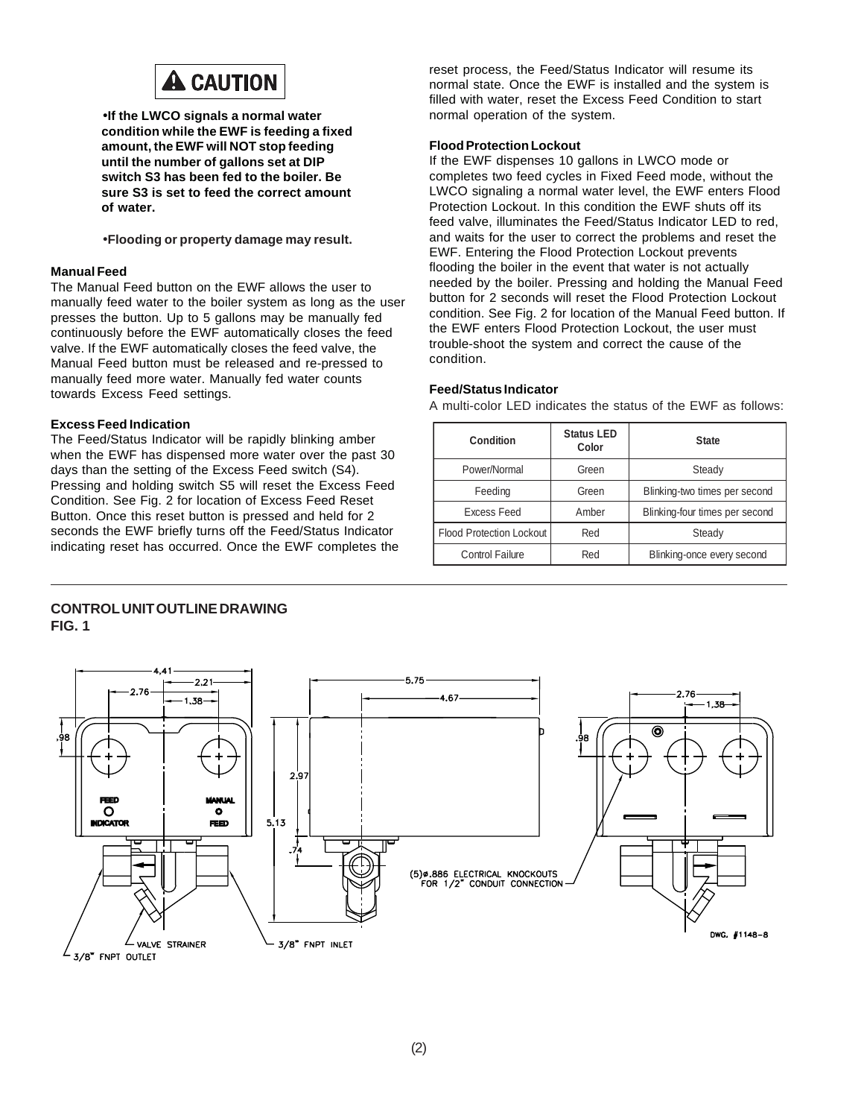

•**If the LWCO signals a normal water condition while the EWF is feeding a fixed amount, the EWF will NOT stop feeding until the number of gallons set at DIP switch S3 has been fed to the boiler. Be sure S3 is set to feed the correct amount of water.**

•**Flooding or property damage may result.**

#### **Manual Feed**

The Manual Feed button on the EWF allows the user to manually feed water to the boiler system as long as the user presses the button. Up to 5 gallons may be manually fed continuously before the EWF automatically closes the feed valve. If the EWF automatically closes the feed valve, the Manual Feed button must be released and re-pressed to manually feed more water. Manually fed water counts towards Excess Feed settings.

#### **Excess Feed Indication**

The Feed/Status Indicator will be rapidly blinking amber when the EWF has dispensed more water over the past 30 days than the setting of the Excess Feed switch (S4). Pressing and holding switch S5 will reset the Excess Feed Condition. See Fig. 2 for location of Excess Feed Reset Button. Once this reset button is pressed and held for 2 seconds the EWF briefly turns off the Feed/Status Indicator indicating reset has occurred. Once the EWF completes the reset process, the Feed/Status Indicator will resume its normal state. Once the EWF is installed and the system is filled with water, reset the Excess Feed Condition to start normal operation of the system.

#### **Flood Protection Lockout**

If the EWF dispenses 10 gallons in LWCO mode or completes two feed cycles in Fixed Feed mode, without the LWCO signaling a normal water level, the EWF enters Flood Protection Lockout. In this condition the EWF shuts off its feed valve, illuminates the Feed/Status Indicator LED to red, and waits for the user to correct the problems and reset the EWF. Entering the Flood Protection Lockout prevents flooding the boiler in the event that water is not actually needed by the boiler. Pressing and holding the Manual Feed button for 2 seconds will reset the Flood Protection Lockout condition. See Fig. 2 for location of the Manual Feed button. If the EWF enters Flood Protection Lockout, the user must trouble-shoot the system and correct the cause of the condition.

#### **Feed/Status Indicator**

A multi-color LED indicates the status of the EWF as follows:

| Condition                | <b>Status LED</b><br>Color | <b>State</b>                   |
|--------------------------|----------------------------|--------------------------------|
| Power/Normal             | Green                      | Steady                         |
| Feeding                  | Green                      | Blinking-two times per second  |
| <b>Excess Feed</b>       | Amber                      | Blinking-four times per second |
| Flood Protection Lockout | Red                        | Steady                         |
| Control Failure          | Red                        | Blinking-once every second     |

#### **CONTROL UNIT OUTLINE DRAWING FIG. 1**

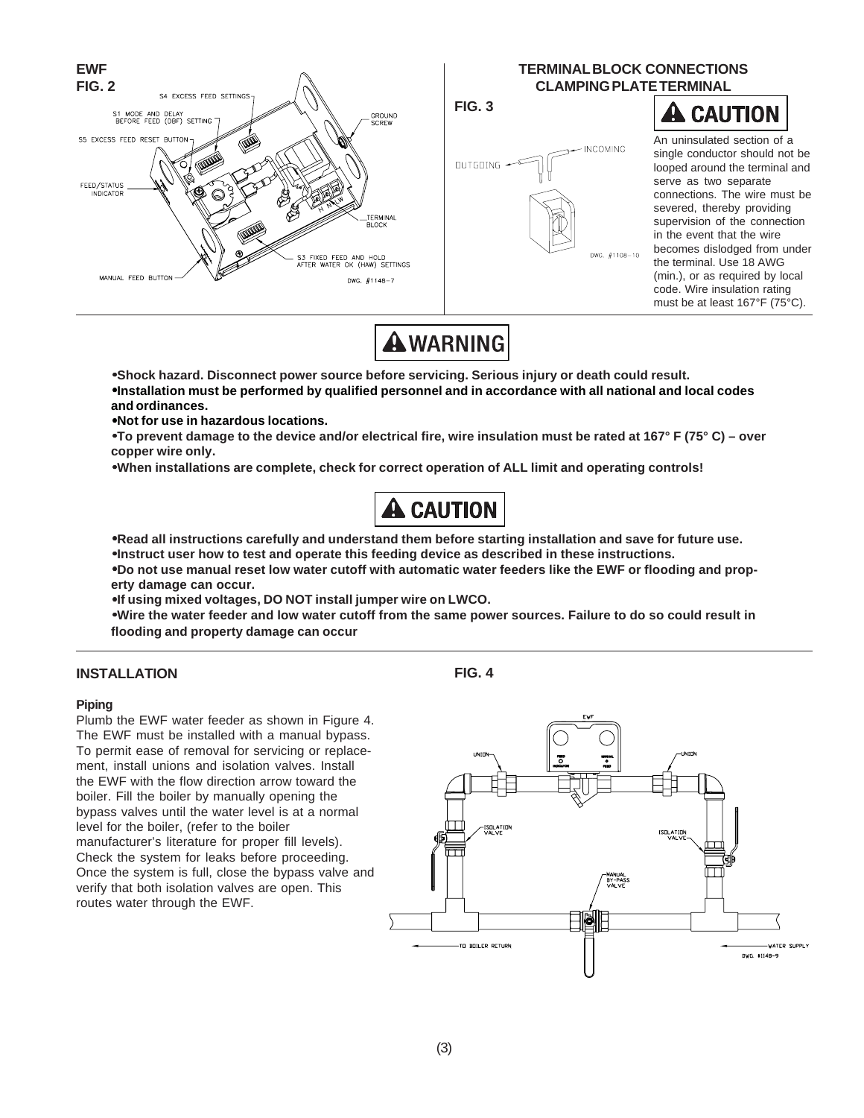

**AWARNING** 

•**Shock hazard. Disconnect power source before servicing. Serious injury or death could result.** •**Installation must be performed by qualified personnel and in accordance with all national and local codes and ordinances.**

•**Not for use in hazardous locations.**

•**To prevent damage to the device and/or electrical fire, wire insulation must be rated at 167° F (75° C) – over copper wire only.**

•**When installations are complete, check for correct operation of ALL limit and operating controls!**



•**Read all instructions carefully and understand them before starting installation and save for future use.**

•**Instruct user how to test and operate this feeding device as described in these instructions.**

•**Do not use manual reset low water cutoff with automatic water feeders like the EWF or flooding and property damage can occur.**

•**If using mixed voltages, DO NOT install jumper wire on LWCO.**

•**Wire the water feeder and low water cutoff from the same power sources. Failure to do so could result in flooding and property damage can occur**

#### **INSTALLATION**

#### **Piping**

Plumb the EWF water feeder as shown in Figure 4. The EWF must be installed with a manual bypass. To permit ease of removal for servicing or replacement, install unions and isolation valves. Install the EWF with the flow direction arrow toward the boiler. Fill the boiler by manually opening the bypass valves until the water level is at a normal level for the boiler, (refer to the boiler manufacturer's literature for proper fill levels). Check the system for leaks before proceeding. Once the system is full, close the bypass valve and verify that both isolation valves are open. This routes water through the EWF.

**FIG. 4**

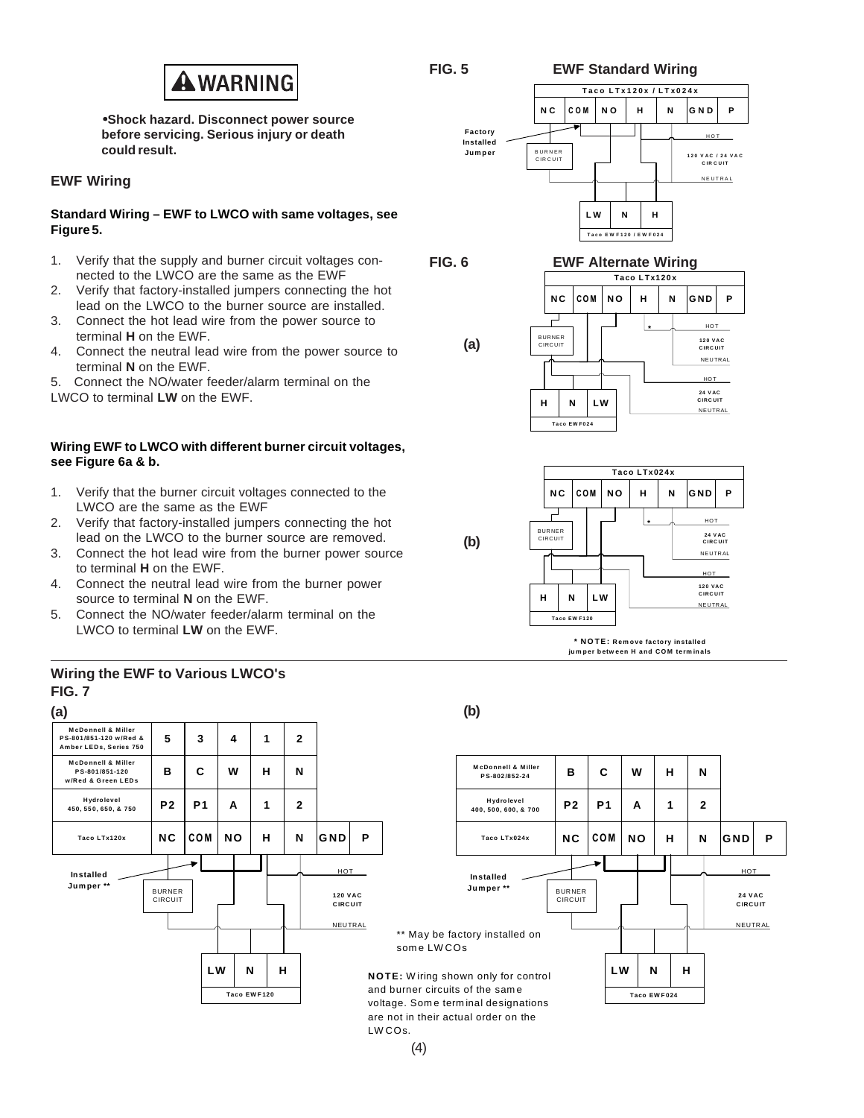

**FIG. 6**

**EWF Standard Wiring**

•**Shock hazard. Disconnect power source before servicing. Serious injury or death could result.**

## **EWF Wiring**

#### **Standard Wiring – EWF to LWCO with same voltages, see Figure 5.**

- 1. Verify that the supply and burner circuit voltages connected to the LWCO are the same as the EWF
- 2. Verify that factory-installed jumpers connecting the hot lead on the LWCO to the burner source are installed.
- 3. Connect the hot lead wire from the power source to terminal **H** on the EWF.
- 4. Connect the neutral lead wire from the power source to terminal **N** on the EWF.
- 5. Connect the NO/water feeder/alarm terminal on the LWCO to terminal **LW** on the EWF.

# **Wiring EWF to LWCO with different burner circuit voltages, see Figure 6a & b.**

- 1. Verify that the burner circuit voltages connected to the LWCO are the same as the EWF
- 2. Verify that factory-installed jumpers connecting the hot lead on the LWCO to the burner source are removed.
- 3. Connect the hot lead wire from the burner power source to terminal **H** on the EWF.
- 4. Connect the neutral lead wire from the burner power source to terminal **N** on the EWF.
- 5. Connect the NO/water feeder/alarm terminal on the LWCO to terminal **LW** on the EWF.







**CIRCUIT** HOT

**24 VAC CIRCUIT** HOT

**NEUTRAL** 

NEUTRAL



**\* NOTE: Rem ove factory installed ju m per b etw een H and COM term in als**



# **FIG. 7 Wiring the EWF to Various LWCO's**

(4)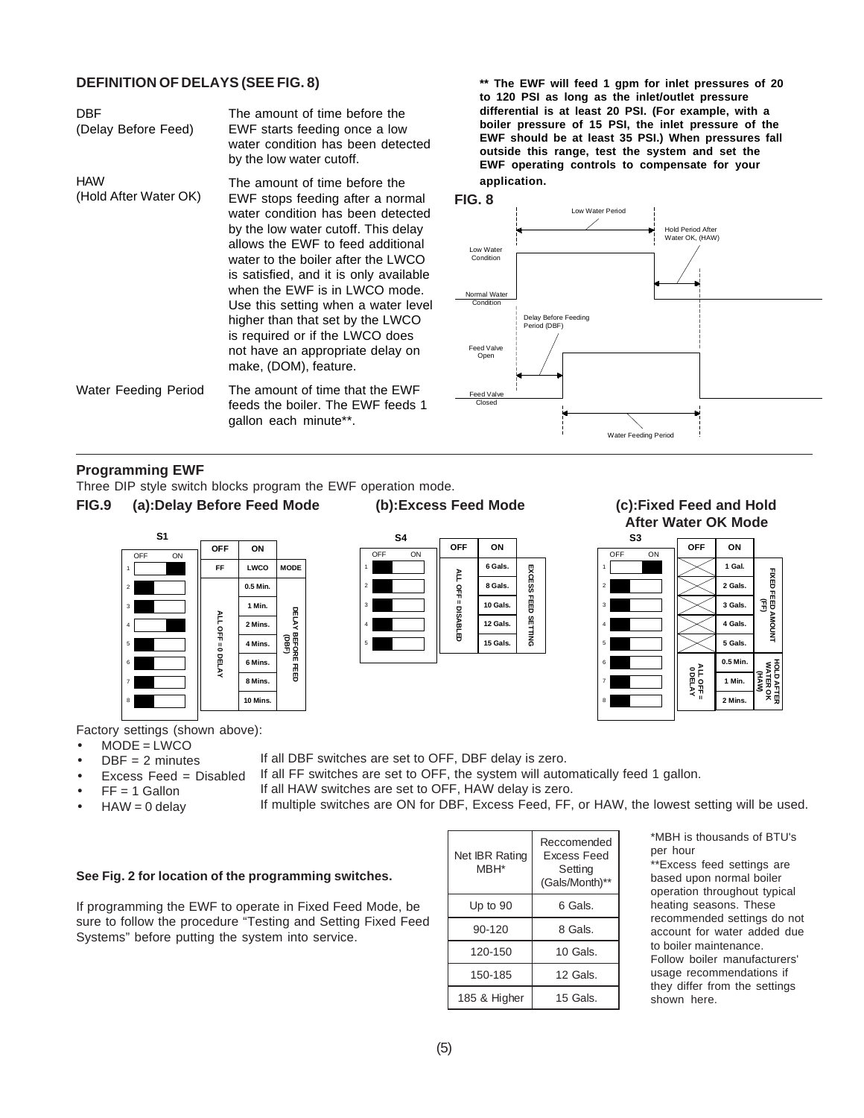#### **DEFINITION OF DELAYS (SEE FIG. 8)**

The amount of time before the EWF starts feeding once a low water condition has been detected by the low water cutoff. The amount of time before the EWF stops feeding after a normal water condition has been detected by the low water cutoff. This delay allows the EWF to feed additional water to the boiler after the LWCO is satisfied, and it is only available when the EWF is in LWCO mode. Use this setting when a water level higher than that set by the LWCO is required or if the LWCO does not have an appropriate delay on make, (DOM), feature. Water Feeding Period The amount of time that the EWF feeds the boiler. The EWF feeds 1 gallon each minute\*\*. DBF (Delay Before Feed) HAW (Hold After Water OK)

**\*\* The EWF will feed 1 gpm for inlet pressures of 20 to 120 PSI as long as the inlet/outlet pressure differential is at least 20 PSI. (For example, with a boiler pressure of 15 PSI, the inlet pressure of the EWF should be at least 35 PSI.) When pressures fall outside this range, test the system and set the EWF operating controls to compensate for your application.**



### **Programming EWF**

Three DIP style switch blocks program the EWF operation mode. **FIG.9 (a):Delay Before Feed Mode (b):Excess Feed Mode (c):Fixed Feed and Hold**





# **After Water OK Mode**



Factory settings (shown above):

- $MODE = LWCO$ 
	- $DBF = 2$  minutes If all DBF switches are set to OFF, DBF delay is zero.
- Excess Feed = Disabled
- If all FF switches are set to OFF, the system will automatically feed 1 gallon.
- $FF = 1$  Gallon
- If all HAW switches are set to OFF, HAW delay is zero.
- $HAW = 0$  delay
- 
- 

If multiple switches are ON for DBF, Excess Feed, FF, or HAW, the lowest setting will be used.

#### **See Fig. 2 for location of the programming switches.**

If programming the EWF to operate in Fixed Feed Mode, be sure to follow the procedure "Testing and Setting Fixed Feed Systems" before putting the system into service.

| Net IBR Rating<br>MBH* | Reccomended<br><b>Fxcess Feed</b><br>Setting<br>(Gals/Month)** |
|------------------------|----------------------------------------------------------------|
| Up to 90               | 6 Gals.                                                        |
| 90-120                 | 8 Gals.                                                        |
| 120-150                | 10 Gals.                                                       |
| 150-185                | 12 Gals.                                                       |
| 185 & Higher           | 15 Gals.                                                       |

\*MBH is thousands of BTU's per hour

\*\*Excess feed settings are based upon normal boiler operation throughout typical heating seasons. These recommended settings do not account for water added due to boiler maintenance. Follow boiler manufacturers' usage recommendations if they differ from the settings shown here.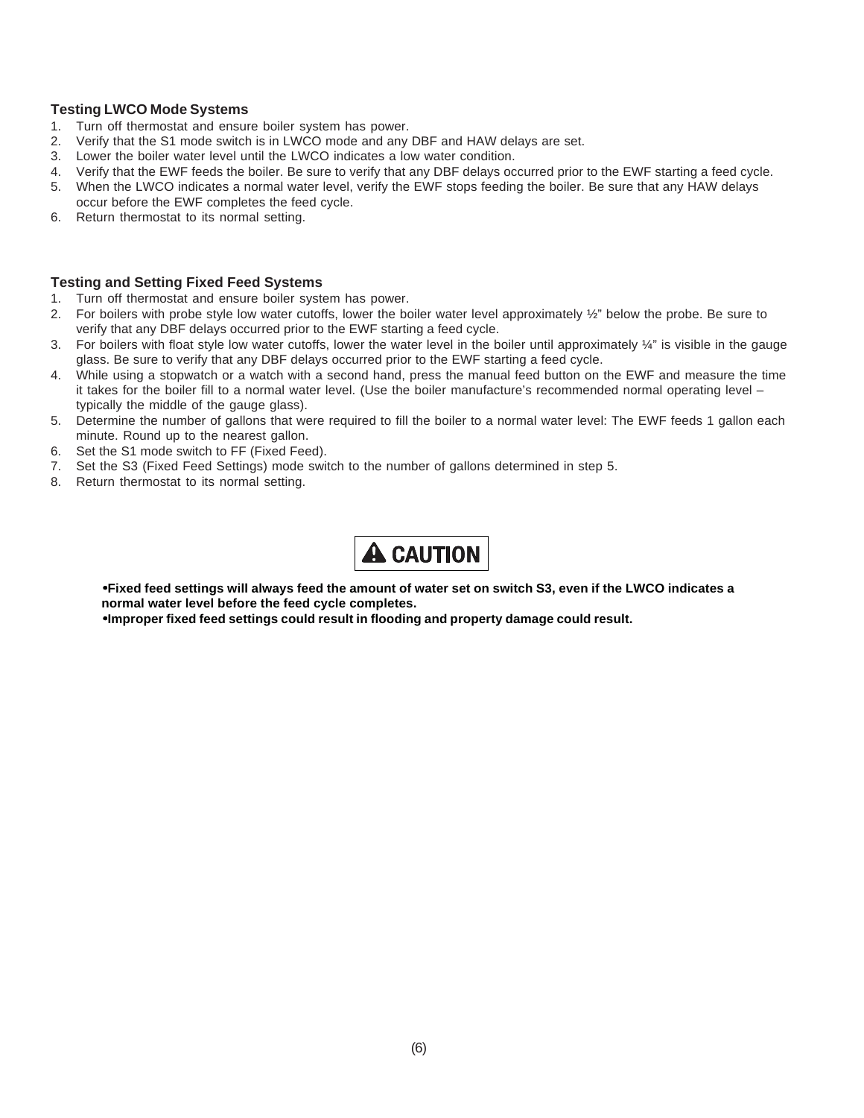### **Testing LWCO Mode Systems**

- 1. Turn off thermostat and ensure boiler system has power.
- 2. Verify that the S1 mode switch is in LWCO mode and any DBF and HAW delays are set.
- 3. Lower the boiler water level until the LWCO indicates a low water condition.
- 4. Verify that the EWF feeds the boiler. Be sure to verify that any DBF delays occurred prior to the EWF starting a feed cycle.
- 5. When the LWCO indicates a normal water level, verify the EWF stops feeding the boiler. Be sure that any HAW delays occur before the EWF completes the feed cycle.
- 6. Return thermostat to its normal setting.

#### **Testing and Setting Fixed Feed Systems**

- 1. Turn off thermostat and ensure boiler system has power.
- 2. For boilers with probe style low water cutoffs, lower the boiler water level approximately 1/2" below the probe. Be sure to verify that any DBF delays occurred prior to the EWF starting a feed cycle.
- 3. For boilers with float style low water cutoffs, lower the water level in the boiler until approximately ¼" is visible in the gauge glass. Be sure to verify that any DBF delays occurred prior to the EWF starting a feed cycle.
- 4. While using a stopwatch or a watch with a second hand, press the manual feed button on the EWF and measure the time it takes for the boiler fill to a normal water level. (Use the boiler manufacture's recommended normal operating level – typically the middle of the gauge glass).
- 5. Determine the number of gallons that were required to fill the boiler to a normal water level: The EWF feeds 1 gallon each minute. Round up to the nearest gallon.
- 6. Set the S1 mode switch to FF (Fixed Feed).
- 7. Set the S3 (Fixed Feed Settings) mode switch to the number of gallons determined in step 5.
- 8. Return thermostat to its normal setting.



•**Fixed feed settings will always feed the amount of water set on switch S3, even if the LWCO indicates a normal water level before the feed cycle completes.**

•**Improper fixed feed settings could result in flooding and property damage could result.**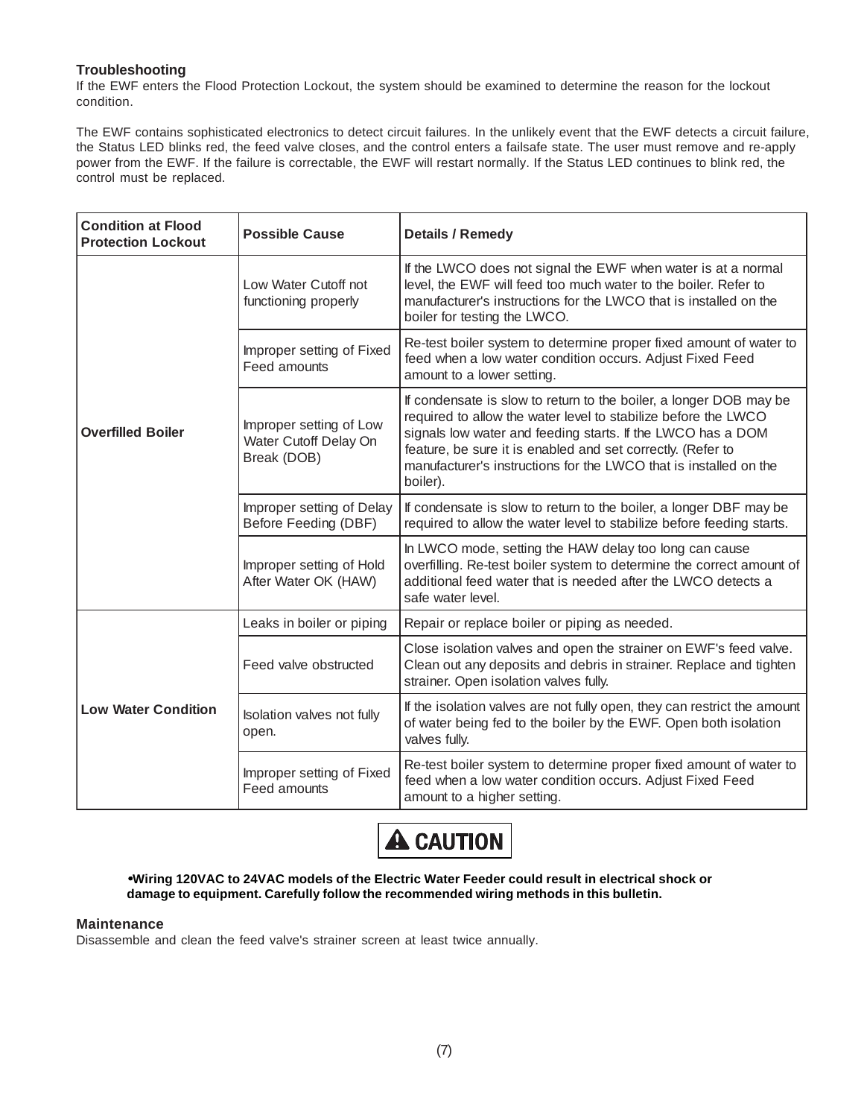# **Troubleshooting**

If the EWF enters the Flood Protection Lockout, the system should be examined to determine the reason for the lockout condition.

The EWF contains sophisticated electronics to detect circuit failures. In the unlikely event that the EWF detects a circuit failure, the Status LED blinks red, the feed valve closes, and the control enters a failsafe state. The user must remove and re-apply power from the EWF. If the failure is correctable, the EWF will restart normally. If the Status LED continues to blink red, the control must be replaced.

| <b>Condition at Flood</b><br><b>Protection Lockout</b> | <b>Possible Cause</b>                                           | <b>Details / Remedy</b>                                                                                                                                                                                                                                                                                                                             |
|--------------------------------------------------------|-----------------------------------------------------------------|-----------------------------------------------------------------------------------------------------------------------------------------------------------------------------------------------------------------------------------------------------------------------------------------------------------------------------------------------------|
| <b>Overfilled Boiler</b>                               | Low Water Cutoff not<br>functioning properly                    | If the LWCO does not signal the EWF when water is at a normal<br>level, the EWF will feed too much water to the boiler. Refer to<br>manufacturer's instructions for the LWCO that is installed on the<br>boiler for testing the LWCO.                                                                                                               |
|                                                        | Improper setting of Fixed<br>Feed amounts                       | Re-test boiler system to determine proper fixed amount of water to<br>feed when a low water condition occurs. Adjust Fixed Feed<br>amount to a lower setting.                                                                                                                                                                                       |
|                                                        | Improper setting of Low<br>Water Cutoff Delay On<br>Break (DOB) | If condensate is slow to return to the boiler, a longer DOB may be<br>required to allow the water level to stabilize before the LWCO<br>signals low water and feeding starts. If the LWCO has a DOM<br>feature, be sure it is enabled and set correctly. (Refer to<br>manufacturer's instructions for the LWCO that is installed on the<br>boiler). |
|                                                        | Improper setting of Delay<br>Before Feeding (DBF)               | If condensate is slow to return to the boiler, a longer DBF may be<br>required to allow the water level to stabilize before feeding starts.                                                                                                                                                                                                         |
|                                                        | Improper setting of Hold<br>After Water OK (HAW)                | In LWCO mode, setting the HAW delay too long can cause<br>overfilling. Re-test boiler system to determine the correct amount of<br>additional feed water that is needed after the LWCO detects a<br>safe water level.                                                                                                                               |
| <b>Low Water Condition</b>                             | Leaks in boiler or piping                                       | Repair or replace boiler or piping as needed.                                                                                                                                                                                                                                                                                                       |
|                                                        | Feed valve obstructed                                           | Close isolation valves and open the strainer on EWF's feed valve.<br>Clean out any deposits and debris in strainer. Replace and tighten<br>strainer. Open isolation valves fully.                                                                                                                                                                   |
|                                                        | Isolation valves not fully<br>open.                             | If the isolation valves are not fully open, they can restrict the amount<br>of water being fed to the boiler by the EWF. Open both isolation<br>valves fully.                                                                                                                                                                                       |
|                                                        | Improper setting of Fixed<br>Feed amounts                       | Re-test boiler system to determine proper fixed amount of water to<br>feed when a low water condition occurs. Adjust Fixed Feed<br>amount to a higher setting.                                                                                                                                                                                      |



•**Wiring 120VAC to 24VAC models of the Electric Water Feeder could result in electrical shock or damage to equipment. Carefully follow the recommended wiring methods in this bulletin.**

#### **Maintenance**

Disassemble and clean the feed valve's strainer screen at least twice annually.